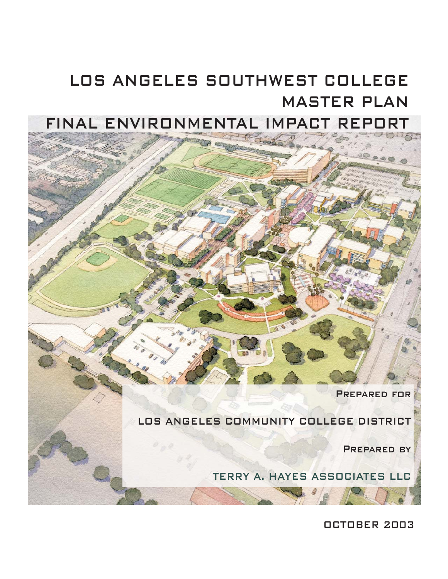# MASTER PLAN LOS ANGELES SOUTHWEST COLLEGE

## FINAL ENVIRONMENTAL IMPACT REPO



LOS ANGELES COMMUNITY COLLEGE DISTRICT

PREPARED BY

TERRY A. HAYES ASSOCIATES LLC

OCTOBER 2003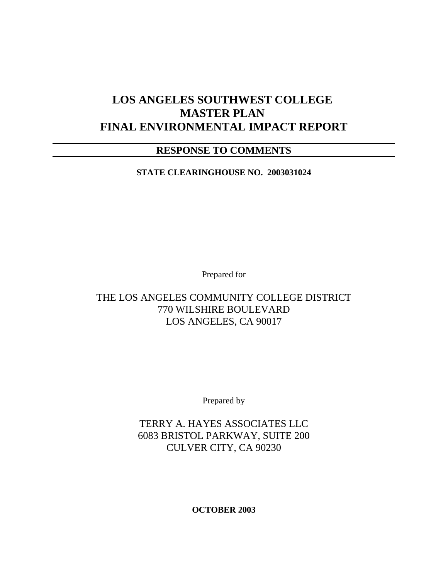## **LOS ANGELES SOUTHWEST COLLEGE MASTER PLAN FINAL ENVIRONMENTAL IMPACT REPORT**

## **RESPONSE TO COMMENTS**

**STATE CLEARINGHOUSE NO. 2003031024**

Prepared for

### THE LOS ANGELES COMMUNITY COLLEGE DISTRICT 770 WILSHIRE BOULEVARD LOS ANGELES, CA 90017

Prepared by

TERRY A. HAYES ASSOCIATES LLC 6083 BRISTOL PARKWAY, SUITE 200 CULVER CITY, CA 90230

**OCTOBER 2003**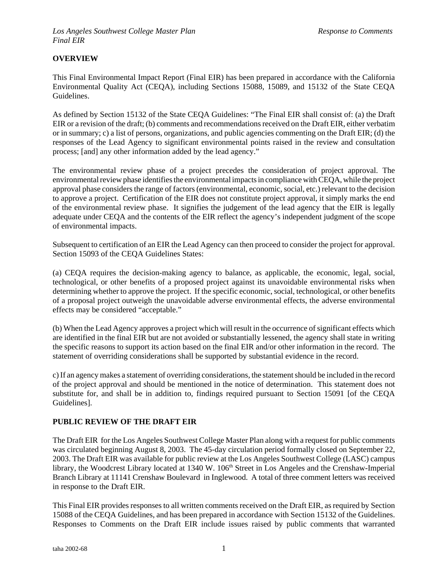#### **OVERVIEW**

This Final Environmental Impact Report (Final EIR) has been prepared in accordance with the California Environmental Quality Act (CEQA), including Sections 15088, 15089, and 15132 of the State CEQA Guidelines.

As defined by Section 15132 of the State CEQA Guidelines: "The Final EIR shall consist of: (a) the Draft EIR or a revision of the draft; (b) comments and recommendations received on the Draft EIR, either verbatim or in summary; c) a list of persons, organizations, and public agencies commenting on the Draft EIR; (d) the responses of the Lead Agency to significant environmental points raised in the review and consultation process; [and] any other information added by the lead agency."

The environmental review phase of a project precedes the consideration of project approval. The environmental review phase identifies the environmental impacts in compliance with CEQA, while the project approval phase considers the range of factors (environmental, economic, social, etc.) relevant to the decision to approve a project. Certification of the EIR does not constitute project approval, it simply marks the end of the environmental review phase. It signifies the judgement of the lead agency that the EIR is legally adequate under CEQA and the contents of the EIR reflect the agency's independent judgment of the scope of environmental impacts.

Subsequent to certification of an EIR the Lead Agency can then proceed to consider the project for approval. Section 15093 of the CEQA Guidelines States:

(a) CEQA requires the decision-making agency to balance, as applicable, the economic, legal, social, technological, or other benefits of a proposed project against its unavoidable environmental risks when determining whether to approve the project. If the specific economic, social, technological, or other benefits of a proposal project outweigh the unavoidable adverse environmental effects, the adverse environmental effects may be considered "acceptable."

(b) When the Lead Agency approves a project which will result in the occurrence of significant effects which are identified in the final EIR but are not avoided or substantially lessened, the agency shall state in writing the specific reasons to support its action based on the final EIR and/or other information in the record. The statement of overriding considerations shall be supported by substantial evidence in the record.

c) If an agency makes a statement of overriding considerations, the statement should be included in the record of the project approval and should be mentioned in the notice of determination. This statement does not substitute for, and shall be in addition to, findings required pursuant to Section 15091 [of the CEQA Guidelines].

#### **PUBLIC REVIEW OF THE DRAFT EIR**

The Draft EIR for the Los Angeles Southwest College Master Plan along with a request for public comments was circulated beginning August 8, 2003. The 45-day circulation period formally closed on September 22, 2003. The Draft EIR was available for public review at the Los Angeles Southwest College (LASC) campus library, the Woodcrest Library located at 1340 W. 106<sup>th</sup> Street in Los Angeles and the Crenshaw-Imperial Branch Library at 11141 Crenshaw Boulevard in Inglewood. A total of three comment letters was received in response to the Draft EIR.

This Final EIR provides responses to all written comments received on the Draft EIR, as required by Section 15088 of the CEQA Guidelines, and has been prepared in accordance with Section 15132 of the Guidelines. Responses to Comments on the Draft EIR include issues raised by public comments that warranted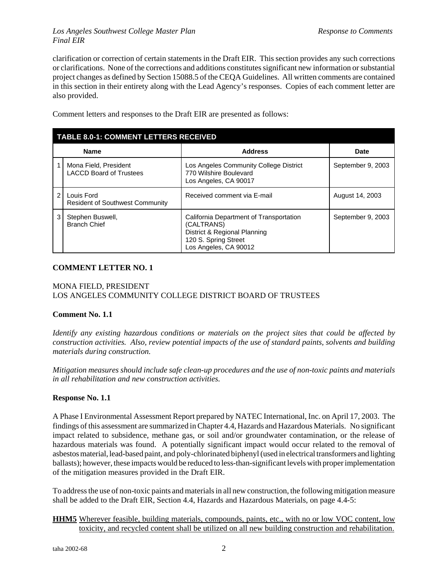#### *Los Angeles Southwest College Master Plan Response to Comments Final EIR*

clarification or correction of certain statements in the Draft EIR. This section provides any such corrections or clarifications. None of the corrections and additions constitutes significant new information or substantial project changes as defined by Section 15088.5 of the CEQA Guidelines. All written comments are contained in this section in their entirety along with the Lead Agency's responses. Copies of each comment letter are also provided.

| <b>TABLE 8.0-1: COMMENT LETTERS RECEIVED</b> |                                                         |                                                                                                                                        |                   |
|----------------------------------------------|---------------------------------------------------------|----------------------------------------------------------------------------------------------------------------------------------------|-------------------|
| <b>Name</b>                                  |                                                         | <b>Address</b>                                                                                                                         | <b>Date</b>       |
|                                              | Mona Field, President<br><b>LACCD Board of Trustees</b> | Los Angeles Community College District<br>770 Wilshire Boulevard<br>Los Angeles, CA 90017                                              | September 9, 2003 |
| $\mathfrak{p}$                               | Louis Ford<br><b>Resident of Southwest Community</b>    | Received comment via E-mail                                                                                                            | August 14, 2003   |
| 3                                            | Stephen Buswell,<br><b>Branch Chief</b>                 | California Department of Transportation<br>(CALTRANS)<br>District & Regional Planning<br>120 S. Spring Street<br>Los Angeles, CA 90012 | September 9, 2003 |

Comment letters and responses to the Draft EIR are presented as follows:

#### **COMMENT LETTER NO. 1**

#### MONA FIELD, PRESIDENT LOS ANGELES COMMUNITY COLLEGE DISTRICT BOARD OF TRUSTEES

#### **Comment No. 1.1**

*Identify any existing hazardous conditions or materials on the project sites that could be affected by construction activities. Also, review potential impacts of the use of standard paints, solvents and building materials during construction.*

*Mitigation measures should include safe clean-up procedures and the use of non-toxic paints and materials in all rehabilitation and new construction activities.*

#### **Response No. 1.1**

A Phase I Environmental Assessment Report prepared by NATEC International, Inc. on April 17, 2003. The findings of this assessment are summarized in Chapter 4.4, Hazards and Hazardous Materials. No significant impact related to subsidence, methane gas, or soil and/or groundwater contamination, or the release of hazardous materials was found. A potentially significant impact would occur related to the removal of asbestos material, lead-based paint, and poly-chlorinated biphenyl (used in electrical transformers and lighting ballasts); however, these impacts would be reduced to less-than-significant levels with proper implementation of the mitigation measures provided in the Draft EIR.

To address the use of non-toxic paints and materials in all new construction, the following mitigation measure shall be added to the Draft EIR, Section 4.4, Hazards and Hazardous Materials, on page 4.4-5:

#### **HHM5** Wherever feasible, building materials, compounds, paints, etc., with no or low VOC content, low toxicity, and recycled content shall be utilized on all new building construction and rehabilitation.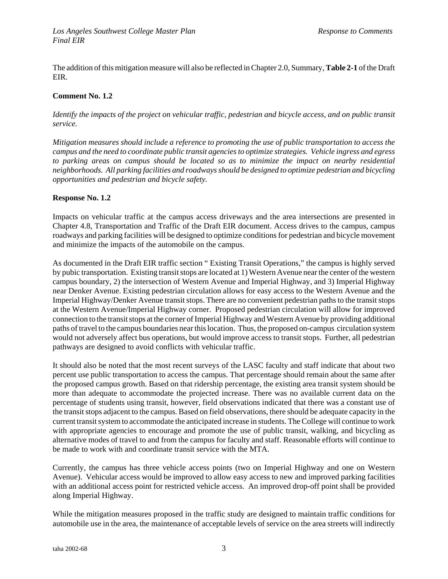The addition of this mitigation measure will also be reflected in Chapter 2.0, Summary, **Table 2-1** of the Draft EIR.

#### **Comment No. 1.2**

*Identify the impacts of the project on vehicular traffic, pedestrian and bicycle access, and on public transit service.*

*Mitigation measures should include a reference to promoting the use of public transportation to access the campus and the need to coordinate public transit agencies to optimize strategies. Vehicle ingress and egress to parking areas on campus should be located so as to minimize the impact on nearby residential neighborhoods. All parking facilities and roadways should be designed to optimize pedestrian and bicycling opportunities and pedestrian and bicycle safety.*

#### **Response No. 1.2**

Impacts on vehicular traffic at the campus access driveways and the area intersections are presented in Chapter 4.8, Transportation and Traffic of the Draft EIR document. Access drives to the campus, campus roadways and parking facilities will be designed to optimize conditions for pedestrian and bicycle movement and minimize the impacts of the automobile on the campus.

As documented in the Draft EIR traffic section " Existing Transit Operations," the campus is highly served by pubic transportation. Existing transit stops are located at 1) Western Avenue near the center of the western campus boundary, 2) the intersection of Western Avenue and Imperial Highway, and 3) Imperial Highway near Denker Avenue. Existing pedestrian circulation allows for easy access to the Western Avenue and the Imperial Highway/Denker Avenue transit stops. There are no convenient pedestrian paths to the transit stops at the Western Avenue/Imperial Highway corner. Proposed pedestrian circulation will allow for improved connection to the transit stops at the corner of Imperial Highway and Western Avenue by providing additional paths of travel to the campus boundaries near this location. Thus, the proposed on-campus circulation system would not adversely affect bus operations, but would improve access to transit stops. Further, all pedestrian pathways are designed to avoid conflicts with vehicular traffic.

It should also be noted that the most recent surveys of the LASC faculty and staff indicate that about two percent use public transportation to access the campus. That percentage should remain about the same after the proposed campus growth. Based on that ridership percentage, the existing area transit system should be more than adequate to accommodate the projected increase. There was no available current data on the percentage of students using transit, however, field observations indicated that there was a constant use of the transit stops adjacent to the campus. Based on field observations, there should be adequate capacity in the current transit system to accommodate the anticipated increase in students. The College will continue to work with appropriate agencies to encourage and promote the use of public transit, walking, and bicycling as alternative modes of travel to and from the campus for faculty and staff. Reasonable efforts will continue to be made to work with and coordinate transit service with the MTA.

Currently, the campus has three vehicle access points (two on Imperial Highway and one on Western Avenue). Vehicular access would be improved to allow easy access to new and improved parking facilities with an additional access point for restricted vehicle access. An improved drop-off point shall be provided along Imperial Highway.

While the mitigation measures proposed in the traffic study are designed to maintain traffic conditions for automobile use in the area, the maintenance of acceptable levels of service on the area streets will indirectly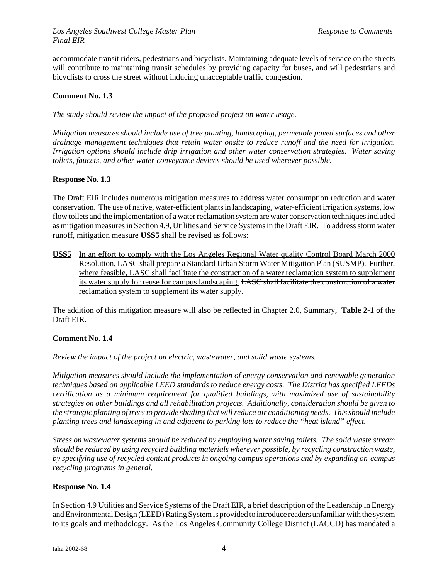accommodate transit riders, pedestrians and bicyclists. Maintaining adequate levels of service on the streets will contribute to maintaining transit schedules by providing capacity for buses, and will pedestrians and bicyclists to cross the street without inducing unacceptable traffic congestion.

#### **Comment No. 1.3**

*The study should review the impact of the proposed project on water usage.* 

*Mitigation measures should include use of tree planting, landscaping, permeable paved surfaces and other drainage management techniques that retain water onsite to reduce runoff and the need for irrigation. Irrigation options should include drip irrigation and other water conservation strategies. Water saving toilets, faucets, and other water conveyance devices should be used wherever possible.*

#### **Response No. 1.3**

The Draft EIR includes numerous mitigation measures to address water consumption reduction and water conservation. The use of native, water-efficient plants in landscaping, water-efficient irrigation systems, low flow toilets and the implementation of a water reclamation system are water conservation techniques included as mitigation measures in Section 4.9, Utilities and Service Systems in the Draft EIR. To address storm water runoff, mitigation measure **USS5** shall be revised as follows:

**USS5** In an effort to comply with the Los Angeles Regional Water quality Control Board March 2000 Resolution, LASC shall prepare a Standard Urban Storm Water Mitigation Plan (SUSMP). Further, where feasible, LASC shall facilitate the construction of a water reclamation system to supplement its water supply for reuse for campus landscaping. LASC shall facilitate the construction of a water reclamation system to supplement its water supply.

The addition of this mitigation measure will also be reflected in Chapter 2.0, Summary, **Table 2-1** of the Draft EIR.

#### **Comment No. 1.4**

*Review the impact of the project on electric, wastewater, and solid waste systems.*

*Mitigation measures should include the implementation of energy conservation and renewable generation techniques based on applicable LEED standards to reduce energy costs. The District has specified LEEDs certification as a minimum requirement for qualified buildings, with maximized use of sustainability strategies on other buildings and all rehabilitation projects. Additionally, consideration should be given to the strategic planting of trees to provide shading that will reduce air conditioning needs. This should include planting trees and landscaping in and adjacent to parking lots to reduce the "heat island" effect.*

*Stress on wastewater systems should be reduced by employing water saving toilets. The solid waste stream should be reduced by using recycled building materials wherever possible, by recycling construction waste, by specifying use of recycled content products in ongoing campus operations and by expanding on-campus recycling programs in general.*

#### **Response No. 1.4**

In Section 4.9 Utilities and Service Systems of the Draft EIR, a brief description of the Leadership in Energy and Environmental Design (LEED) Rating System is provided to introduce readers unfamiliar with the system to its goals and methodology. As the Los Angeles Community College District (LACCD) has mandated a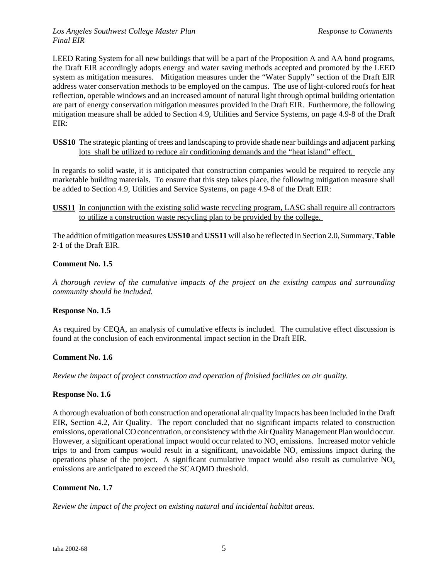LEED Rating System for all new buildings that will be a part of the Proposition A and AA bond programs, the Draft EIR accordingly adopts energy and water saving methods accepted and promoted by the LEED system as mitigation measures. Mitigation measures under the "Water Supply" section of the Draft EIR address water conservation methods to be employed on the campus. The use of light-colored roofs for heat reflection, operable windows and an increased amount of natural light through optimal building orientation are part of energy conservation mitigation measures provided in the Draft EIR. Furthermore, the following mitigation measure shall be added to Section 4.9, Utilities and Service Systems, on page 4.9-8 of the Draft EIR:

#### **USS10** The strategic planting of trees and landscaping to provide shade near buildings and adjacent parking lots shall be utilized to reduce air conditioning demands and the "heat island" effect.

In regards to solid waste, it is anticipated that construction companies would be required to recycle any marketable building materials. To ensure that this step takes place, the following mitigation measure shall be added to Section 4.9, Utilities and Service Systems, on page 4.9-8 of the Draft EIR:

#### **USS11** In conjunction with the existing solid waste recycling program, LASC shall require all contractors to utilize a construction waste recycling plan to be provided by the college.

The addition of mitigation measures **USS10** and **USS11** will also be reflected in Section 2.0, Summary, **Table 2-1** of the Draft EIR.

#### **Comment No. 1.5**

*A thorough review of the cumulative impacts of the project on the existing campus and surrounding community should be included.*

#### **Response No. 1.5**

As required by CEQA, an analysis of cumulative effects is included. The cumulative effect discussion is found at the conclusion of each environmental impact section in the Draft EIR.

#### **Comment No. 1.6**

*Review the impact of project construction and operation of finished facilities on air quality.*

#### **Response No. 1.6**

A thorough evaluation of both construction and operational air quality impacts has been included in the Draft EIR, Section 4.2, Air Quality. The report concluded that no significant impacts related to construction emissions, operational CO concentration, or consistency with the Air Quality Management Plan would occur. However, a significant operational impact would occur related to  $NO<sub>x</sub>$  emissions. Increased motor vehicle trips to and from campus would result in a significant, unavoidable  $NO<sub>x</sub>$  emissions impact during the operations phase of the project. A significant cumulative impact would also result as cumulative NO<sub>x</sub> emissions are anticipated to exceed the SCAQMD threshold.

#### **Comment No. 1.7**

*Review the impact of the project on existing natural and incidental habitat areas.*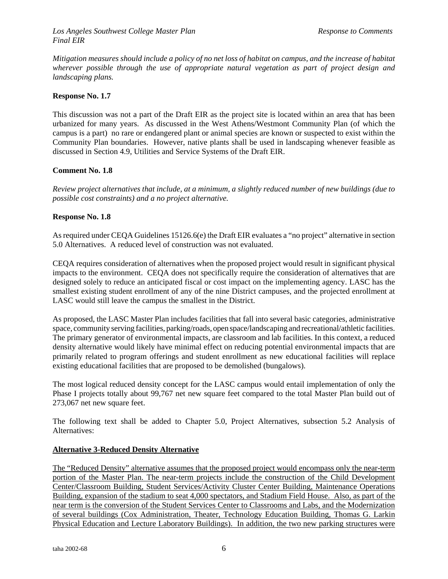*Mitigation measures should include a policy of no net loss of habitat on campus, and the increase of habitat wherever possible through the use of appropriate natural vegetation as part of project design and landscaping plans.*

#### **Response No. 1.7**

This discussion was not a part of the Draft EIR as the project site is located within an area that has been urbanized for many years. As discussed in the West Athens/Westmont Community Plan (of which the campus is a part) no rare or endangered plant or animal species are known or suspected to exist within the Community Plan boundaries. However, native plants shall be used in landscaping whenever feasible as discussed in Section 4.9, Utilities and Service Systems of the Draft EIR.

#### **Comment No. 1.8**

*Review project alternatives that include, at a minimum, a slightly reduced number of new buildings (due to possible cost constraints) and a no project alternative.*

#### **Response No. 1.8**

As required under CEQA Guidelines 15126.6(e) the Draft EIR evaluates a "no project" alternative in section 5.0 Alternatives. A reduced level of construction was not evaluated.

CEQA requires consideration of alternatives when the proposed project would result in significant physical impacts to the environment. CEQA does not specifically require the consideration of alternatives that are designed solely to reduce an anticipated fiscal or cost impact on the implementing agency. LASC has the smallest existing student enrollment of any of the nine District campuses, and the projected enrollment at LASC would still leave the campus the smallest in the District.

As proposed, the LASC Master Plan includes facilities that fall into several basic categories, administrative space, community serving facilities, parking/roads, open space/landscaping and recreational/athletic facilities. The primary generator of environmental impacts, are classroom and lab facilities. In this context, a reduced density alternative would likely have minimal effect on reducing potential environmental impacts that are primarily related to program offerings and student enrollment as new educational facilities will replace existing educational facilities that are proposed to be demolished (bungalows).

The most logical reduced density concept for the LASC campus would entail implementation of only the Phase I projects totally about 99,767 net new square feet compared to the total Master Plan build out of 273,067 net new square feet.

The following text shall be added to Chapter 5.0, Project Alternatives, subsection 5.2 Analysis of Alternatives:

#### **Alternative 3-Reduced Density Alternative**

The "Reduced Density" alternative assumes that the proposed project would encompass only the near-term portion of the Master Plan. The near-term projects include the construction of the Child Development Center/Classroom Building, Student Services/Activity Cluster Center Building, Maintenance Operations Building, expansion of the stadium to seat 4,000 spectators, and Stadium Field House. Also, as part of the near term is the conversion of the Student Services Center to Classrooms and Labs, and the Modernization of several buildings (Cox Administration, Theater, Technology Education Building, Thomas G. Larkin Physical Education and Lecture Laboratory Buildings). In addition, the two new parking structures were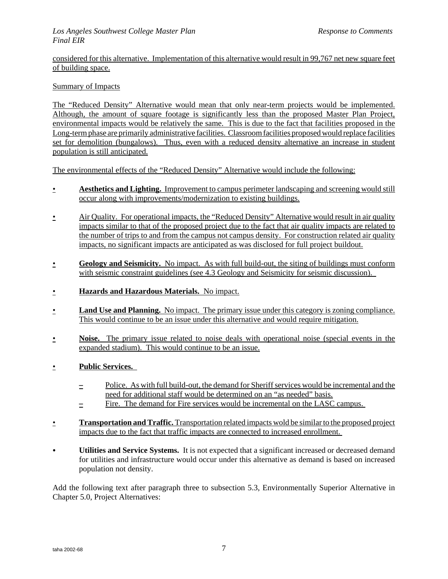considered for this alternative. Implementation of this alternative would result in 99,767 net new square feet of building space.

#### Summary of Impacts

The "Reduced Density" Alternative would mean that only near-term projects would be implemented. Although, the amount of square footage is significantly less than the proposed Master Plan Project, environmental impacts would be relatively the same. This is due to the fact that facilities proposed in the Long-term phase are primarily administrative facilities. Classroom facilities proposed would replace facilities set for demolition (bungalows). Thus, even with a reduced density alternative an increase in student population is still anticipated.

The environmental effects of the "Reduced Density" Alternative would include the following:

- **Aesthetics and Lighting.** Improvement to campus perimeter landscaping and screening would still occur along with improvements/modernization to existing buildings.
- Air Quality. For operational impacts, the "Reduced Density" Alternative would result in air quality impacts similar to that of the proposed project due to the fact that air quality impacts are related to the number of trips to and from the campus not campus density. For construction related air quality impacts, no significant impacts are anticipated as was disclosed for full project buildout.
- **Geology and Seismicity.** No impact. As with full build-out, the siting of buildings must conform with seismic constraint guidelines (see 4.3 Geology and Seismicity for seismic discussion).
- **Hazards and Hazardous Materials.** No impact.
- **Land Use and Planning.** No impact. The primary issue under this category is zoning compliance. This would continue to be an issue under this alternative and would require mitigation.
- **Noise.** The primary issue related to noise deals with operational noise (special events in the expanded stadium). This would continue to be an issue.
- **Public Services.**
	- $\frac{1}{2}$  Police. As with full build-out, the demand for Sheriff services would be incremental and the need for additional staff would be determined on an "as needed" basis.
	- $\equiv$  Fire. The demand for Fire services would be incremental on the LASC campus.
- **Transportation and Traffic.** Transportation related impacts wold be similar to the proposed project impacts due to the fact that traffic impacts are connected to increased enrollment.
- C **Utilities and Service Systems.** It is not expected that a significant increased or decreased demand for utilities and infrastructure would occur under this alternative as demand is based on increased population not density.

Add the following text after paragraph three to subsection 5.3, Environmentally Superior Alternative in Chapter 5.0, Project Alternatives: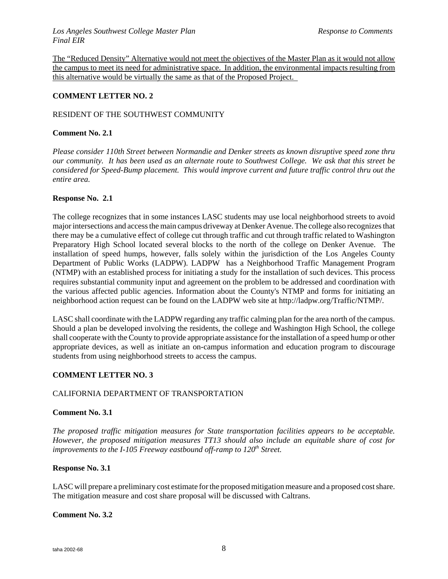The "Reduced Density" Alternative would not meet the objectives of the Master Plan as it would not allow the campus to meet its need for administrative space. In addition, the environmental impacts resulting from this alternative would be virtually the same as that of the Proposed Project.

#### **COMMENT LETTER NO. 2**

#### RESIDENT OF THE SOUTHWEST COMMUNITY

#### **Comment No. 2.1**

*Please consider 110th Street between Normandie and Denker streets as known disruptive speed zone thru our community. It has been used as an alternate route to Southwest College. We ask that this street be considered for Speed-Bump placement. This would improve current and future traffic control thru out the entire area.*

#### **Response No. 2.1**

The college recognizes that in some instances LASC students may use local neighborhood streets to avoid major intersections and access the main campus driveway at Denker Avenue. The college also recognizes that there may be a cumulative effect of college cut through traffic and cut through traffic related to Washington Preparatory High School located several blocks to the north of the college on Denker Avenue. The installation of speed humps, however, falls solely within the jurisdiction of the Los Angeles County Department of Public Works (LADPW). LADPW has a Neighborhood Traffic Management Program (NTMP) with an established process for initiating a study for the installation of such devices. This process requires substantial community input and agreement on the problem to be addressed and coordination with the various affected public agencies. Information about the County's NTMP and forms for initiating an neighborhood action request can be found on the LADPW web site at http://ladpw.org/Traffic/NTMP/.

LASC shall coordinate with the LADPW regarding any traffic calming plan for the area north of the campus. Should a plan be developed involving the residents, the college and Washington High School, the college shall cooperate with the County to provide appropriate assistance for the installation of a speed hump or other appropriate devices, as well as initiate an on-campus information and education program to discourage students from using neighborhood streets to access the campus.

#### **COMMENT LETTER NO. 3**

#### CALIFORNIA DEPARTMENT OF TRANSPORTATION

#### **Comment No. 3.1**

*The proposed traffic mitigation measures for State transportation facilities appears to be acceptable. However, the proposed mitigation measures TT13 should also include an equitable share of cost for improvements to the I-105 Freeway eastbound off-ramp to 120<sup>th</sup> Street.* 

#### **Response No. 3.1**

LASC will prepare a preliminary cost estimate for the proposed mitigation measure and a proposed cost share. The mitigation measure and cost share proposal will be discussed with Caltrans.

#### **Comment No. 3.2**